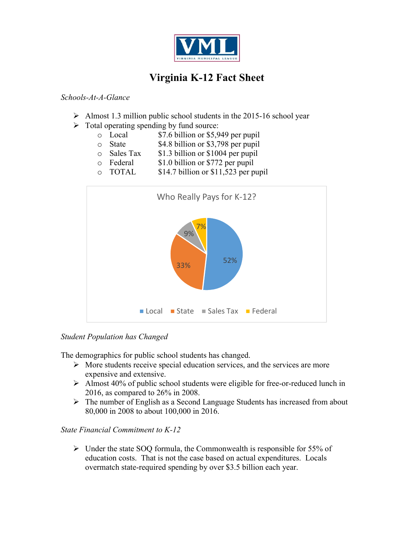

## Virginia K-12 Fact Sheet

## *Schools-At-A-Glance*

- $\geq$  Almost 1.3 million public school students in the 2015-16 school year
- $\triangleright$  Total operating spending by fund source:
	- o Local \$7.6 billion or \$5,949 per pupil
	- o State \$4.8 billion or \$3,798 per pupil
	- $\circ$  Sales Tax  $\qquad$  \$1.3 billion or \$1004 per pupil
	- o Federal \$1.0 billion or \$772 per pupil
	- o TOTAL \$14.7 billion or \$11,523 per pupil



## *Student Population has Changed*

The demographics for public school students has changed.

- $\triangleright$  More students receive special education services, and the services are more expensive and extensive.
- $\triangleright$  Almost 40% of public school students were eligible for free-or-reduced lunch in 2016, as compared to 26% in 2008.
- $\triangleright$  The number of English as a Second Language Students has increased from about 80,000 in 2008 to about 100,000 in 2016.

## *State Financial Commitment to K-12*

 $\triangleright$  Under the state SOQ formula, the Commonwealth is responsible for 55% of education costs. That is not the case based on actual expenditures. Locals overmatch state-required spending by over \$3.5 billion each year.